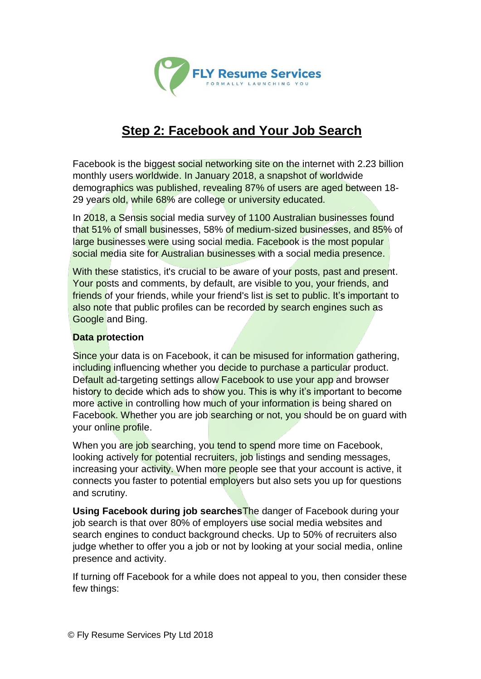

# **Step 2: Facebook and Your Job Search**

Facebook is the biggest social networking site on the internet with 2.23 billion monthly users worldwide. In January 2018, a snapshot of worldwide demographics was published, revealing 87% of users are aged between 18- 29 years old, while 68% are college or university educated.

In 2018, a Sensis social media survey of 1100 Australian businesses found that 51% of small businesses, 58% of medium-sized businesses, and 85% of large businesses were using social media. Facebook is the most popular social media site for Australian businesses with a social media presence.

With these statistics, it's crucial to be aware of your posts, past and present. Your posts and comments, by default, are visible to you, your friends, and friends of your friends, while your friend's list is set to public. It's important to also note that public profiles can be recorded by search engines such as Google and Bing.

## **Data protection**

Since your data is on Facebook, it can be misused for information gathering, including influencing whether you decide to purchase a particular product. Default ad-targeting settings allow **Facebook to use your app** and browser history to decide which ads to show you. This is why it's important to become more active in controlling how much of your information is being shared on Facebook. Whether you are job searching or not, you should be on quard with your online profile.

When you are job searching, you tend to spend more time on Facebook. looking actively for potential recruiters, job listings and sending messages, increasing your activity. When more people see that your account is active, it connects you faster to potential employers but also sets you up for questions and scrutiny.

**Using Facebook during job searches**The danger of Facebook during your job search is that over 80% of employers use social media websites and search engines to conduct background checks. Up to 50% of recruiters also judge whether to offer you a job or not by looking at your social media, online presence and activity.

If turning off Facebook for a while does not appeal to you, then consider these few things: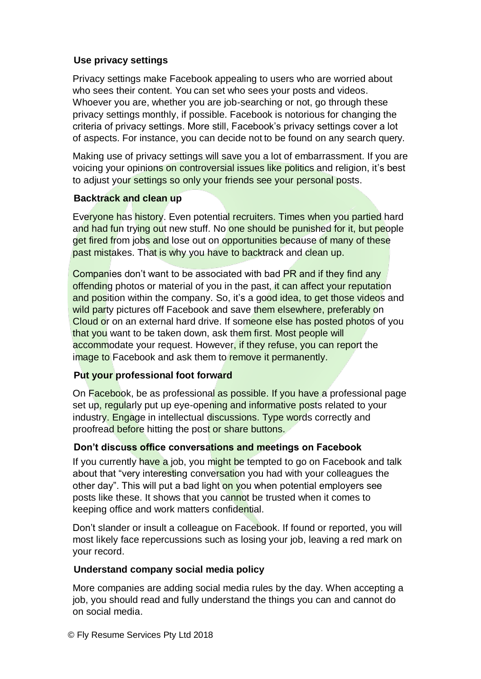## **Use privacy settings**

Privacy settings make Facebook appealing to users who are worried about who sees their content. You can set who sees your posts and videos. Whoever you are, whether you are job-searching or not, go through these privacy settings monthly, if possible. Facebook is notorious for changing the criteria of privacy settings. More still, Facebook's privacy settings cover a lot of aspects. For instance, you can decide not to be found on any search query.

Making use of privacy settings will save you a lot of embarrassment. If you are voicing your opinions on controversial issues like politics and religion, it's best to adjust your settings so only your friends see your personal posts.

### **Backtrack and clean up**

Everyone has history. Even potential recruiters. Times when you partied hard and had fun trying out new stuff. No one should be punished for it, but people get fired from jobs and lose out on opportunities because of many of these past mistakes. That is why you have to backtrack and clean up.

Companies don't want to be associated with bad PR and if they find any offending photos or material of you in the past, it can affect your reputation and position within the company. So, it's a good idea, to get those videos and wild party pictures off Facebook and save them elsewhere, preferably on Cloud or on an external hard drive. If someone else has posted photos of you that you want to be taken down, ask them first. Most people will accommodate your request. However, if they refuse, you can report the image to Facebook and ask them to remove it permanently.

### **Put your professional foot forward**

On Facebook, be as professional as possible. If you have a professional page set up, regularly put up eye-opening and informative posts related to your industry. Engage in intellectual discussions. Type words correctly and proofread before hitting the post or share buttons.

### **Don't discuss office conversations and meetings on Facebook**

If you currently have a job, you might be tempted to go on Facebook and talk about that "very interesting conversation you had with your colleagues the other day". This will put a bad light on you when potential employers see posts like these. It shows that you cannot be trusted when it comes to keeping office and work matters confidential.

Don't slander or insult a colleague on Facebook. If found or reported, you will most likely face repercussions such as losing your job, leaving a red mark on your record.

### **Understand company social media policy**

More companies are adding social media rules by the day. When accepting a job, you should read and fully understand the things you can and cannot do on social media.